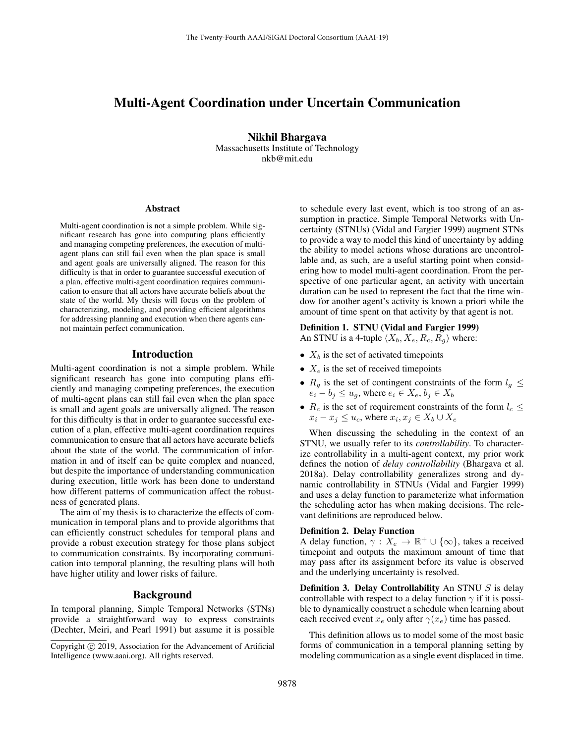# Multi-Agent Coordination under Uncertain Communication

Nikhil Bhargava Massachusetts Institute of Technology nkb@mit.edu

#### Abstract

Multi-agent coordination is not a simple problem. While significant research has gone into computing plans efficiently and managing competing preferences, the execution of multiagent plans can still fail even when the plan space is small and agent goals are universally aligned. The reason for this difficulty is that in order to guarantee successful execution of a plan, effective multi-agent coordination requires communication to ensure that all actors have accurate beliefs about the state of the world. My thesis will focus on the problem of characterizing, modeling, and providing efficient algorithms for addressing planning and execution when there agents cannot maintain perfect communication.

### Introduction

Multi-agent coordination is not a simple problem. While significant research has gone into computing plans efficiently and managing competing preferences, the execution of multi-agent plans can still fail even when the plan space is small and agent goals are universally aligned. The reason for this difficulty is that in order to guarantee successful execution of a plan, effective multi-agent coordination requires communication to ensure that all actors have accurate beliefs about the state of the world. The communication of information in and of itself can be quite complex and nuanced, but despite the importance of understanding communication during execution, little work has been done to understand how different patterns of communication affect the robustness of generated plans.

The aim of my thesis is to characterize the effects of communication in temporal plans and to provide algorithms that can efficiently construct schedules for temporal plans and provide a robust execution strategy for those plans subject to communication constraints. By incorporating communication into temporal planning, the resulting plans will both have higher utility and lower risks of failure.

## Background

In temporal planning, Simple Temporal Networks (STNs) provide a straightforward way to express constraints (Dechter, Meiri, and Pearl 1991) but assume it is possible to schedule every last event, which is too strong of an assumption in practice. Simple Temporal Networks with Uncertainty (STNUs) (Vidal and Fargier 1999) augment STNs to provide a way to model this kind of uncertainty by adding the ability to model actions whose durations are uncontrollable and, as such, are a useful starting point when considering how to model multi-agent coordination. From the perspective of one particular agent, an activity with uncertain duration can be used to represent the fact that the time window for another agent's activity is known a priori while the amount of time spent on that activity by that agent is not.

### Definition 1. STNU (Vidal and Fargier 1999)

An STNU is a 4-tuple  $\langle X_b, X_e, R_c, R_q \rangle$  where:

- $X_b$  is the set of activated timepoints
- $X_e$  is the set of received timepoints
- $R_q$  is the set of contingent constraints of the form  $l_q \leq$  $e_i - b_j \le u_g$ , where  $e_i \in X_e$ ,  $b_j \in X_b$
- $R_c$  is the set of requirement constraints of the form  $l_c \leq$  $x_i - x_j \le u_c$ , where  $x_i, x_j \in X_b \cup X_e$

When discussing the scheduling in the context of an STNU, we usually refer to its *controllability*. To characterize controllability in a multi-agent context, my prior work defines the notion of *delay controllability* (Bhargava et al. 2018a). Delay controllability generalizes strong and dynamic controllability in STNUs (Vidal and Fargier 1999) and uses a delay function to parameterize what information the scheduling actor has when making decisions. The relevant definitions are reproduced below.

#### Definition 2. Delay Function

A delay function,  $\gamma: X_e \to \mathbb{R}^+ \cup \{\infty\}$ , takes a received timepoint and outputs the maximum amount of time that may pass after its assignment before its value is observed and the underlying uncertainty is resolved.

**Definition 3. Delay Controllability** An STNU  $S$  is delay controllable with respect to a delay function  $\gamma$  if it is possible to dynamically construct a schedule when learning about each received event  $x_e$  only after  $\gamma(x_e)$  time has passed.

This definition allows us to model some of the most basic forms of communication in a temporal planning setting by modeling communication as a single event displaced in time.

Copyright (c) 2019, Association for the Advancement of Artificial Intelligence (www.aaai.org). All rights reserved.